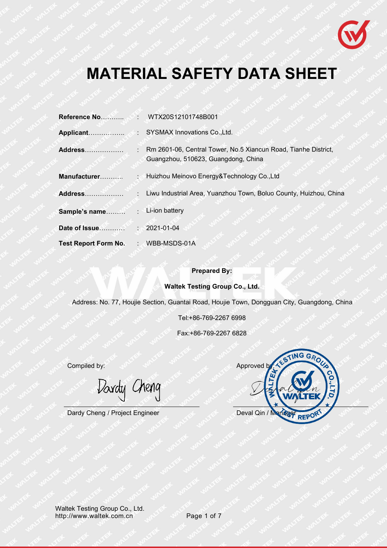

# **MATERIAL SAFETY DATA SHEET**

| Address                     | Rm 2601-06, Central Tower, No.5 Xiancun Road, Tianhe District,<br>Guangzhou, 510623, Guangdong, China |
|-----------------------------|-------------------------------------------------------------------------------------------------------|
| Manufacturer                | : Huizhou Meinovo Energy&Technology Co., Ltd                                                          |
| <b>Address</b>              | Liwu Industrial Area, Yuanzhou Town, Boluo County, Huizhou, China                                     |
| Sample's name               | $\cdot$ Li-ion battery                                                                                |
|                             | $: 2021 - 01 - 04$                                                                                    |
| <b>Test Report Form No.</b> | : WBB-MSDS-01A                                                                                        |

#### **Prepared By:**

#### **Waltek Testing Group Co., Ltd.**

Address: No. 77, Houjie Section, Guantai Road, Houjie Town, Dongguan City, Guangdong, China

Tel:+86-769-2267 6998

Fax:+86-769-2267 6828

Davdy Cheng

TING GRO **Compiled by:** Approved by: Approved by: Approved by: Approved by: Approved by: Approved by: Approved by: Approved by: Approved by: Approved by: Approved by: Approved by: Approved by: Approved by: Approved by: Approved by: Dardy Cheng / Project Engineer Deval Qin / Manager REPC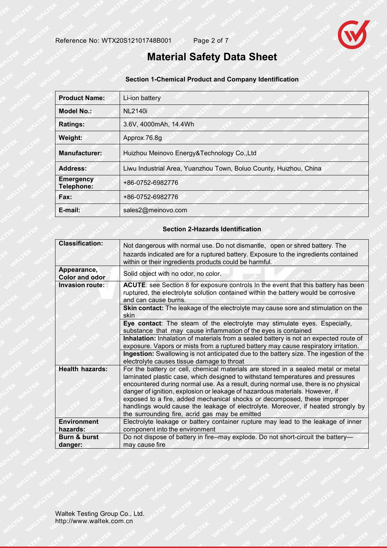

## **Material Safety Data Sheet**

#### **Section 1-Chemical Product and Company Identification**

| <b>Product Name:</b>           | Li-ion battery                                                    |
|--------------------------------|-------------------------------------------------------------------|
| <b>Model No.:</b>              | <b>NL2140i</b>                                                    |
| Ratings:                       | 3.6V, 4000mAh, 14.4Wh                                             |
| Weight:                        | Approx.76.8g                                                      |
| <b>Manufacturer:</b>           | Huizhou Meinovo Energy&Technology Co., Ltd                        |
| Address:                       | Liwu Industrial Area, Yuanzhou Town, Boluo County, Huizhou, China |
| <b>Emergency</b><br>Telephone: | +86-0752-6982776                                                  |
| Fax:                           | +86-0752-6982776                                                  |
| E-mail:                        | sales2@meinovo.com                                                |

#### **Section 2-Hazards Identification**

| <b>Classification:</b>               | Not dangerous with normal use. Do not dismantle, open or shred battery. The<br>hazards indicated are for a ruptured battery. Exposure to the ingredients contained<br>within or their ingredients products could be harmful.                                                                                                                                                                                                                                                                                                                                  |
|--------------------------------------|---------------------------------------------------------------------------------------------------------------------------------------------------------------------------------------------------------------------------------------------------------------------------------------------------------------------------------------------------------------------------------------------------------------------------------------------------------------------------------------------------------------------------------------------------------------|
| Appearance,<br><b>Color and odor</b> | Solid object with no odor, no color.                                                                                                                                                                                                                                                                                                                                                                                                                                                                                                                          |
| Invasion route:                      | ACUTE: see Section 8 for exposure controls In the event that this battery has been<br>ruptured, the electrolyte solution contained within the battery would be corrosive<br>and can cause burns.                                                                                                                                                                                                                                                                                                                                                              |
|                                      | Skin contact: The leakage of the electrolyte may cause sore and stimulation on the<br>skin                                                                                                                                                                                                                                                                                                                                                                                                                                                                    |
|                                      | Eye contact: The steam of the electrolyte may stimulate eyes. Especially,<br>substance that may cause inflammation of the eyes is contained                                                                                                                                                                                                                                                                                                                                                                                                                   |
|                                      | Inhalation: Inhalation of materials from a sealed battery is not an expected route of<br>exposure. Vapors or mists from a ruptured battery may cause respiratory irritation.                                                                                                                                                                                                                                                                                                                                                                                  |
|                                      | Ingestion: Swallowing is not anticipated due to the battery size. The ingestion of the<br>electrolyte causes tissue damage to throat                                                                                                                                                                                                                                                                                                                                                                                                                          |
| <b>Health hazards:</b>               | For the battery or cell, chemical materials are stored in a sealed metal or metal<br>laminated plastic case, which designed to withstand temperatures and pressures<br>encountered during normal use. As a result, during normal use, there is no physical<br>danger of ignition, explosion or leakage of hazardous materials. However, if<br>exposed to a fire, added mechanical shocks or decomposed, these improper<br>handlings would cause the leakage of electrolyte. Moreover, if heated strongly by<br>the surrounding fire, acrid gas may be emitted |
| <b>Environment</b><br>hazards:       | Electrolyte leakage or battery container rupture may lead to the leakage of inner<br>component into the environment                                                                                                                                                                                                                                                                                                                                                                                                                                           |
| Burn & burst<br>danger:              | Do not dispose of battery in fire--may explode. Do not short-circuit the battery-<br>may cause fire                                                                                                                                                                                                                                                                                                                                                                                                                                                           |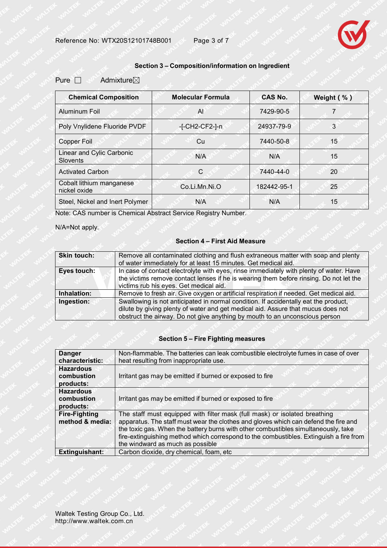

### **Section 3 – Composition/information on Ingredient**

#### Pure  $\Box$  Admixture $\boxtimes$

| <b>Chemical Composition</b>                  | <b>Molecular Formula</b> | <b>CAS No.</b> | Weight (%) |
|----------------------------------------------|--------------------------|----------------|------------|
| Aluminum Foil                                | AI.                      | 7429-90-5      |            |
| Poly Vnylidene Fluoride PVDF                 | -[-CH2-CF2-]-n           | 24937-79-9     | 3          |
| Copper Foil                                  | Cu                       | 7440-50-8      | 15         |
| Linear and Cylic Carbonic<br><b>Slovents</b> | N/A                      | N/A            | 15         |
| <b>Activated Carbon</b>                      | C                        | 7440-44-0      | 20         |
| Cobalt lithium manganese<br>nickel oxide     | Co.Li.Mn.Ni.O            | 182442-95-1    | 25         |
| Steel, Nickel and Inert Polymer              | N/A                      | N/A            | 15         |

Note: CAS number is Chemical Abstract Service Registry Number.

N/A=Not apply.

#### **Section 4 – First Aid Measure**

| Skin touch: | Remove all contaminated clothing and flush extraneous matter with soap and plenty<br>of water immediately for at least 15 minutes. Get medical aid.                                                                        |
|-------------|----------------------------------------------------------------------------------------------------------------------------------------------------------------------------------------------------------------------------|
| Eyes touch: | In case of contact electrolyte with eyes, rinse immediately with plenty of water. Have<br>the victims remove contact lenses if he is wearing them before rinsing. Do not let the<br>victims rub his eyes. Get medical aid. |
| Inhalation: | Remove to fresh air. Give oxygen or artificial respiration if needed. Get medical aid.                                                                                                                                     |
| Ingestion:  | Swallowing is not anticipated in normal condition. If accidentally eat the product,<br>dilute by giving plenty of water and get medical aid. Assure that mucus does not                                                    |
|             | obstruct the airway. Do not give anything by mouth to an unconscious person                                                                                                                                                |

#### **Section 5 – Fire Fighting measures**

| <b>Danger</b>                           | Non-flammable. The batteries can leak combustible electrolyte fumes in case of over                                                                                                                                                                                                                                                                                                   |  |
|-----------------------------------------|---------------------------------------------------------------------------------------------------------------------------------------------------------------------------------------------------------------------------------------------------------------------------------------------------------------------------------------------------------------------------------------|--|
| characteristic:                         | heat resulting from inappropriate use.                                                                                                                                                                                                                                                                                                                                                |  |
| <b>Hazardous</b>                        |                                                                                                                                                                                                                                                                                                                                                                                       |  |
| combustion                              | Irritant gas may be emitted if burned or exposed to fire                                                                                                                                                                                                                                                                                                                              |  |
| products:                               |                                                                                                                                                                                                                                                                                                                                                                                       |  |
| <b>Hazardous</b>                        |                                                                                                                                                                                                                                                                                                                                                                                       |  |
| combustion                              | Irritant gas may be emitted if burned or exposed to fire                                                                                                                                                                                                                                                                                                                              |  |
| products:                               |                                                                                                                                                                                                                                                                                                                                                                                       |  |
| <b>Fire-Fighting</b><br>method & media: | The staff must equipped with filter mask (full mask) or isolated breathing<br>apparatus. The staff must wear the clothes and gloves which can defend the fire and<br>the toxic gas. When the battery burns with other combustibles simultaneously, take<br>fire-extinguishing method which correspond to the combustibles. Extinguish a fire from<br>the windward as much as possible |  |
| <b>Extinguishant:</b>                   | Carbon dioxide, dry chemical, foam, etc                                                                                                                                                                                                                                                                                                                                               |  |
|                                         |                                                                                                                                                                                                                                                                                                                                                                                       |  |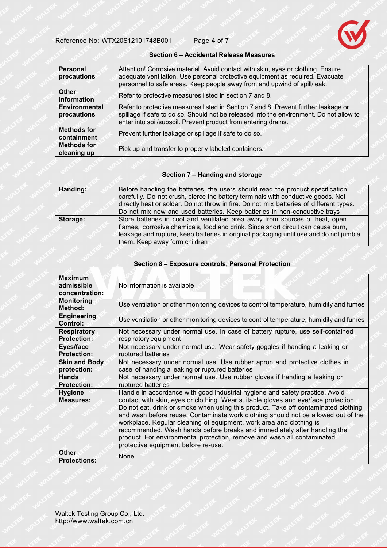

#### **Section 6 - Accidental Release Measures**

| Personal<br>precautions             | Attention! Corrosive material. Avoid contact with skin, eyes or clothing. Ensure<br>adequate ventilation. Use personal protective equipment as required. Evacuate<br>personnel to safe areas. Keep people away from and upwind of spill/leak.   |
|-------------------------------------|-------------------------------------------------------------------------------------------------------------------------------------------------------------------------------------------------------------------------------------------------|
| <b>Other</b><br><b>Information</b>  | Refer to protective measures listed in section 7 and 8.                                                                                                                                                                                         |
| <b>Environmental</b><br>precautions | Refer to protective measures listed in Section 7 and 8. Prevent further leakage or<br>spillage if safe to do so. Should not be released into the environment. Do not allow to<br>enter into soil/subsoil. Prevent product from entering drains. |
| <b>Methods for</b><br>containment   | Prevent further leakage or spillage if safe to do so.                                                                                                                                                                                           |
| <b>Methods for</b><br>cleaning up   | Pick up and transfer to properly labeled containers.                                                                                                                                                                                            |

#### **Section 7 – Handing and storage**

| Handing: | Before handling the batteries, the users should read the product specification<br>carefully. Do not crush, pierce the battery terminals with conductive goods. Not<br>directly heat or solder. Do not throw in fire. Do not mix batteries of different types.<br>Do not mix new and used batteries. Keep batteries in non-conductive trays |  |
|----------|--------------------------------------------------------------------------------------------------------------------------------------------------------------------------------------------------------------------------------------------------------------------------------------------------------------------------------------------|--|
| Storage: | Store batteries in cool and ventilated area away from sources of heat, open<br>flames, corrosive chemicals, food and drink. Since short circuit can cause burn,<br>leakage and rupture, keep batteries in original packaging until use and do not jumble<br>them. Keep away form children                                                  |  |

#### **Section 8 – Exposure controls, Personal Protection**

| <b>Maximum</b><br>admissible<br>concentration: | No information is available                                                                                                                                                                                                                                                                                                                                                                                                                                                                                                                                                                                        |
|------------------------------------------------|--------------------------------------------------------------------------------------------------------------------------------------------------------------------------------------------------------------------------------------------------------------------------------------------------------------------------------------------------------------------------------------------------------------------------------------------------------------------------------------------------------------------------------------------------------------------------------------------------------------------|
| <b>Monitoring</b><br>Method:                   | Use ventilation or other monitoring devices to control temperature, humidity and fumes                                                                                                                                                                                                                                                                                                                                                                                                                                                                                                                             |
| <b>Engineering</b><br>Control:                 | Use ventilation or other monitoring devices to control temperature, humidity and fumes                                                                                                                                                                                                                                                                                                                                                                                                                                                                                                                             |
| <b>Respiratory</b><br><b>Protection:</b>       | Not necessary under normal use. In case of battery rupture, use self-contained<br>respiratory equipment                                                                                                                                                                                                                                                                                                                                                                                                                                                                                                            |
| Eyes/face<br><b>Protection:</b>                | Not necessary under normal use. Wear safety goggles if handing a leaking or<br>ruptured batteries                                                                                                                                                                                                                                                                                                                                                                                                                                                                                                                  |
| <b>Skin and Body</b><br>protection:            | Not necessary under normal use. Use rubber apron and protective clothes in<br>case of handing a leaking or ruptured batteries                                                                                                                                                                                                                                                                                                                                                                                                                                                                                      |
| <b>Hands</b><br><b>Protection:</b>             | Not necessary under normal use. Use rubber gloves if handing a leaking or<br>ruptured batteries                                                                                                                                                                                                                                                                                                                                                                                                                                                                                                                    |
| <b>Hygiene</b><br><b>Measures:</b>             | Handle in accordance with good industrial hygiene and safety practice. Avoid<br>contact with skin, eyes or clothing. Wear suitable gloves and eye/face protection.<br>Do not eat, drink or smoke when using this product. Take off contaminated clothing<br>and wash before reuse. Contaminate work clothing should not be allowed out of the<br>workplace. Regular cleaning of equipment, work area and clothing is<br>recommended. Wash hands before breaks and immediately after handling the<br>product. For environmental protection, remove and wash all contaminated<br>protective equipment before re-use. |
| <b>Other</b><br><b>Protections:</b>            | None                                                                                                                                                                                                                                                                                                                                                                                                                                                                                                                                                                                                               |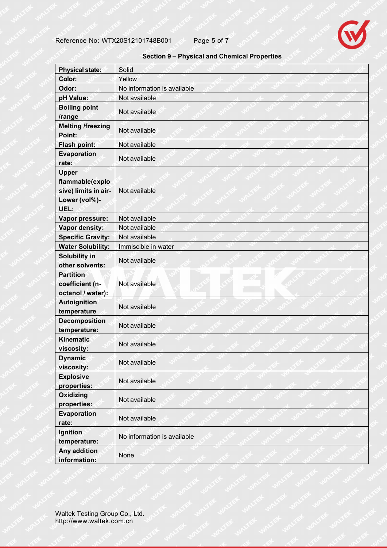

#### **Section 9 – Physical and Chemical Properties**

| <b>Physical state:</b>                                                           | Solid                       |
|----------------------------------------------------------------------------------|-----------------------------|
| Color:                                                                           | Yellow                      |
| Odor:                                                                            | No information is available |
| pH Value:                                                                        | Not available               |
| <b>Boiling point</b><br>/range                                                   | Not available               |
| <b>Melting /freezing</b><br>Point:                                               | Not available               |
| Flash point:                                                                     | Not available               |
| Evaporation<br>rate:                                                             | Not available               |
| <b>Upper</b><br>flammable(explo<br>sive) limits in air-<br>Lower (vol%)-<br>UEL: | Not available               |
| Vapor pressure:                                                                  | Not available               |
| Vapor density:                                                                   | Not available               |
| <b>Specific Gravity:</b>                                                         | Not available               |
| <b>Water Solubility:</b>                                                         | Immiscible in water         |
| Solubility in<br>other solvents:                                                 | Not available               |
| <b>Partition</b><br>coefficient (n-<br>octanol / water):                         | Not available               |
| <b>Autoignition</b><br>temperature                                               | Not available               |
| <b>Decomposition</b><br>temperature:                                             | Not available               |
| <b>Kinematic</b><br>viscosity:                                                   | Not available               |
| <b>Dynamic</b><br>viscosity:                                                     | Not available               |
| <b>Explosive</b><br>properties:                                                  | Not available               |
| <b>Oxidizing</b><br>properties:                                                  | Not available               |
| <b>Evaporation</b><br>rate:                                                      | Not available               |
| Ignition<br>temperature:                                                         | No information is available |
| Any addition<br>information:                                                     | None                        |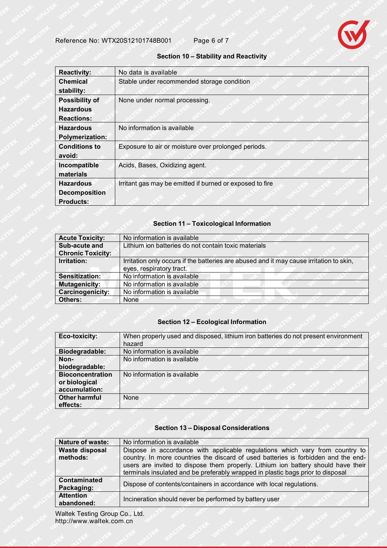

#### **Section 10 – Stability and Reactivity**

| <b>Reactivity:</b>                                             | No data is available                                     |
|----------------------------------------------------------------|----------------------------------------------------------|
| <b>Chemical</b><br>stability:                                  | Stable under recommended storage condition               |
| <b>Possibility of</b><br><b>Hazardous</b><br><b>Reactions:</b> | None under normal processing.                            |
| <b>Hazardous</b><br>Polymerization:                            | No information is available                              |
| <b>Conditions to</b><br>avoid:                                 | Exposure to air or moisture over prolonged periods.      |
| Incompatible<br>materials                                      | Acids, Bases, Oxidizing agent.                           |
| <b>Hazardous</b><br><b>Decomposition</b><br><b>Products:</b>   | Irritant gas may be emitted if burned or exposed to fire |

#### **Section 11 – Toxicological Information**

| <b>Acute Toxicity:</b>   | No information is available                                                                                         |
|--------------------------|---------------------------------------------------------------------------------------------------------------------|
| Sub-acute and            | Lithium ion batteries do not contain toxic materials                                                                |
| <b>Chronic Toxicity:</b> |                                                                                                                     |
| Irritation:              | Irritation only occurs if the batteries are abused and it may cause irritation to skin,<br>eyes, respiratory tract. |
| Sensitization:           | No information is available                                                                                         |
| <b>Mutagenicity:</b>     | No information is available                                                                                         |
| <b>Carcinogenicity:</b>  | No information is available                                                                                         |
| Others:                  | None                                                                                                                |

#### **Section 12 - Ecological Information**

| Eco-toxicity:           | When properly used and disposed, lithium iron batteries do not present environment<br>hazard |
|-------------------------|----------------------------------------------------------------------------------------------|
| Biodegradable:          | No information is available                                                                  |
| Non-                    | No information is available                                                                  |
| biodegradable:          |                                                                                              |
| <b>Bioconcentration</b> | No information is available                                                                  |
| or biological           |                                                                                              |
| accumulation:           |                                                                                              |
| <b>Other harmful</b>    | None                                                                                         |
| effects:                |                                                                                              |

#### **Section 13 - Disposal Considerations**

| Nature of waste:                  | No information is available                                                                                                                                                                                                                                                                                                                |
|-----------------------------------|--------------------------------------------------------------------------------------------------------------------------------------------------------------------------------------------------------------------------------------------------------------------------------------------------------------------------------------------|
| Waste disposal<br>methods:        | Dispose in accordance with applicable regulations which vary from country to<br>country. In more countries the discard of used batteries is forbidden and the end-<br>users are invited to dispose them properly. Lithium ion battery should have their<br>terminals insulated and be preferably wrapped in plastic bags prior to disposal |
| <b>Contaminated</b><br>Packaging: | Dispose of contents/containers in accordance with local regulations.                                                                                                                                                                                                                                                                       |
| <b>Attention</b><br>abandoned:    | Incineration should never be performed by battery user                                                                                                                                                                                                                                                                                     |

Waltek Testing Group Co., Ltd. http://www.waltek.com.cn